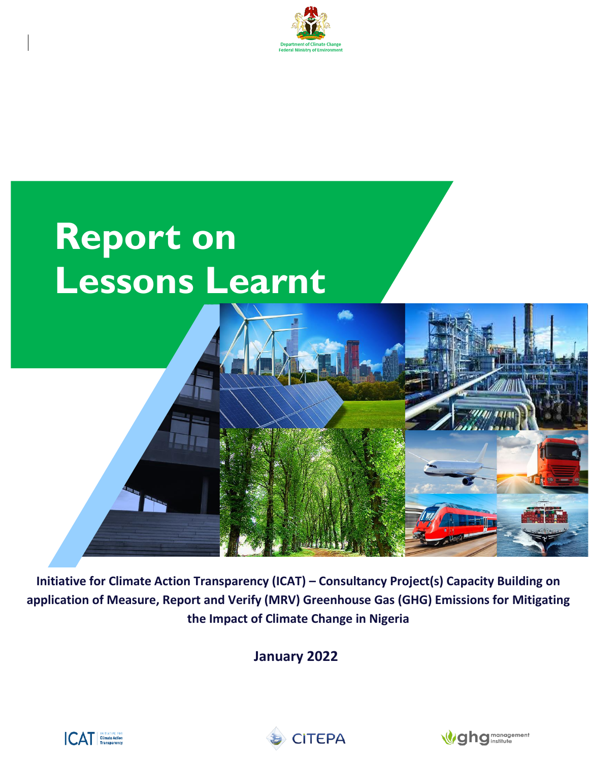

# **Report on Lessons Learnt**

**Initiative for Climate Action Transparency (ICAT) – Consultancy Project(s) Capacity Building on application of Measure, Report and Verify (MRV) Greenhouse Gas (GHG) Emissions for Mitigating the Impact of Climate Change in Nigeria**

**January 2022**





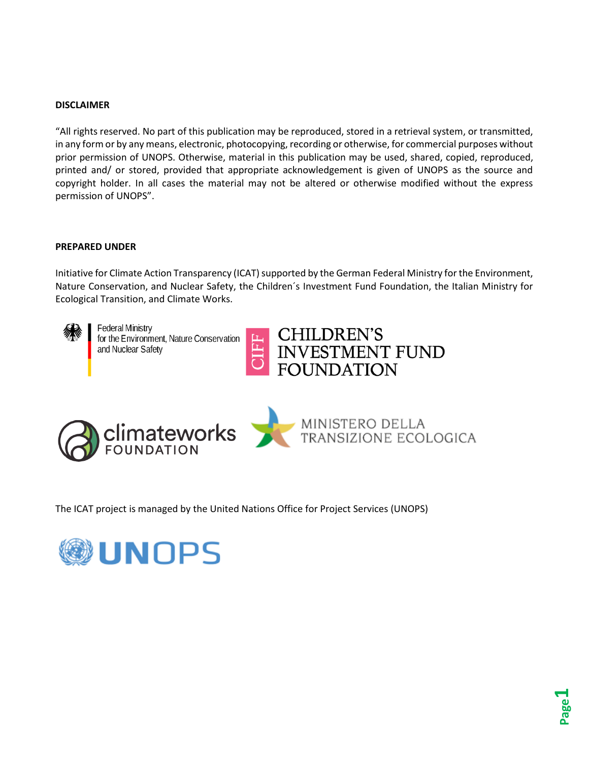#### **DISCLAIMER**

"All rights reserved. No part of this publication may be reproduced, stored in a retrieval system, or transmitted, in any form or by any means, electronic, photocopying, recording or otherwise, for commercial purposes without prior permission of UNOPS. Otherwise, material in this publication may be used, shared, copied, reproduced, printed and/ or stored, provided that appropriate acknowledgement is given of UNOPS as the source and copyright holder. In all cases the material may not be altered or otherwise modified without the express permission of UNOPS".

#### **PREPARED UNDER**

Initiative for Climate Action Transparency (ICAT) supported by the German Federal Ministry for the Environment, Nature Conservation, and Nuclear Safety, the Children´s Investment Fund Foundation, the Italian Ministry for Ecological Transition, and Climate Works.



**Federal Ministry** for the Environment, Nature Conservation and Nuclear Safety



MINISTERO DELLA<br>TRANSIZIONE ECOLOGICA



The ICAT project is managed by the United Nations Office for Project Services (UNOPS)

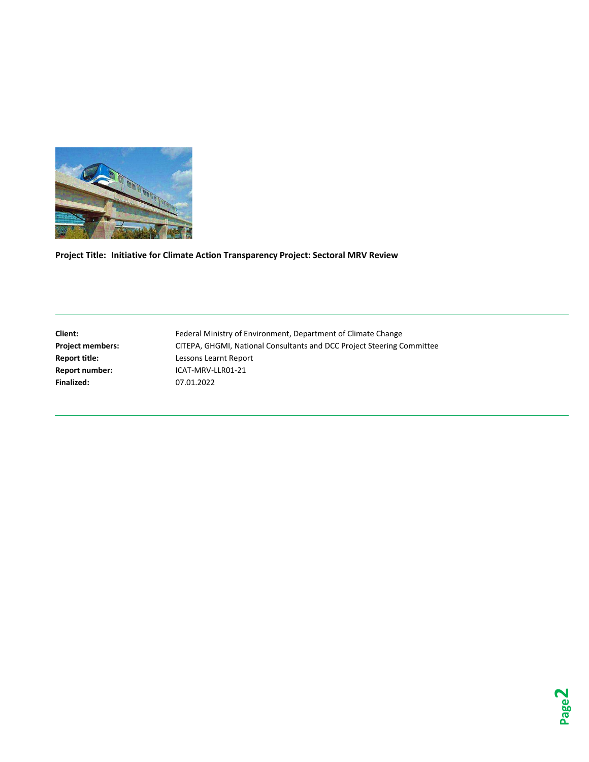

**Project Title: Initiative for Climate Action Transparency Project: Sectoral MRV Review** 

**Finalized:** 07.01.2022

**Client:** Federal Ministry of Environment, Department of Climate Change **Project members:** CITEPA, GHGMI, National Consultants and DCC Project Steering Committee **Report title:** Lessons Learnt Report **Report number:** ICAT-MRV-LLR01-21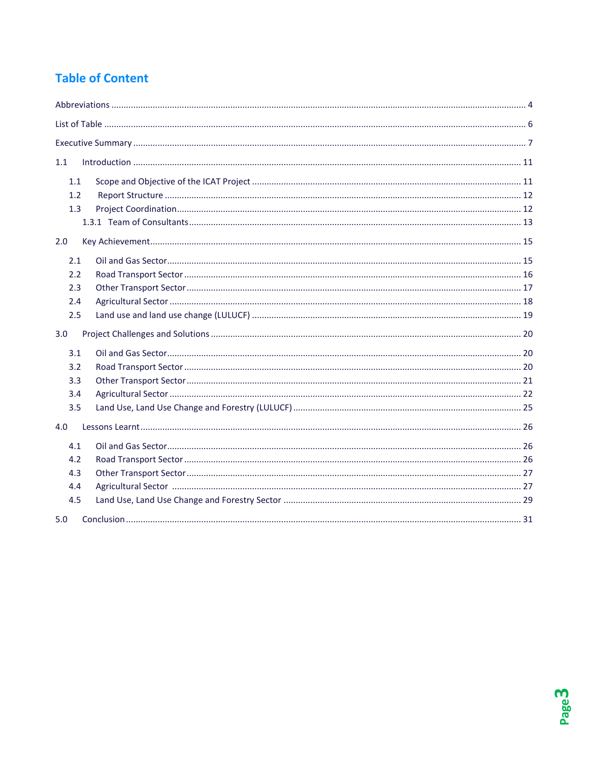# **Table of Content**

| 1.1 |  |
|-----|--|
| 1.1 |  |
| 1.2 |  |
| 1.3 |  |
|     |  |
| 2.0 |  |
| 2.1 |  |
| 2.2 |  |
| 2.3 |  |
| 2.4 |  |
| 2.5 |  |
| 3.0 |  |
| 3.1 |  |
| 3.2 |  |
| 3.3 |  |
| 3.4 |  |
| 3.5 |  |
| 4.0 |  |
| 4.1 |  |
| 4.2 |  |
| 4.3 |  |
| 4.4 |  |
| 4.5 |  |
| 5.0 |  |

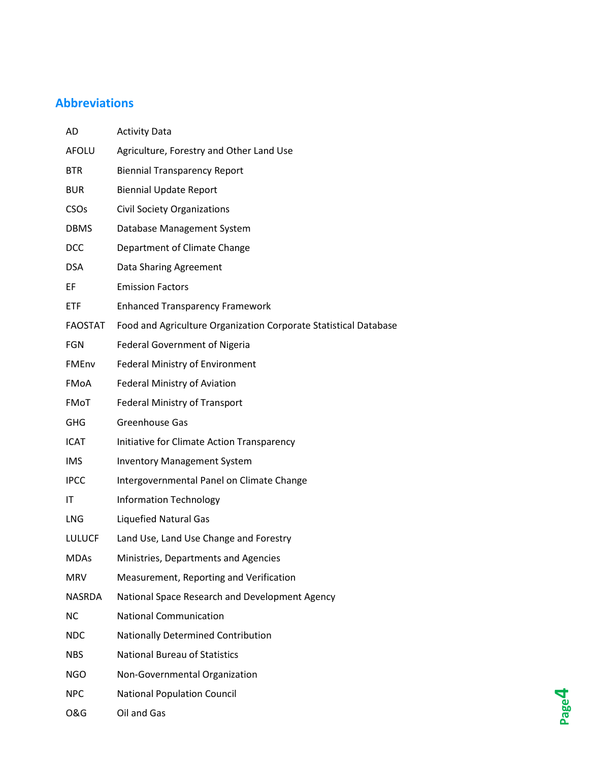# <span id="page-4-0"></span>**Abbreviations**

| AD             | <b>Activity Data</b>                                             |
|----------------|------------------------------------------------------------------|
| <b>AFOLU</b>   | Agriculture, Forestry and Other Land Use                         |
| <b>BTR</b>     | <b>Biennial Transparency Report</b>                              |
| <b>BUR</b>     | <b>Biennial Update Report</b>                                    |
| CSOs           | <b>Civil Society Organizations</b>                               |
| <b>DBMS</b>    | Database Management System                                       |
| <b>DCC</b>     | Department of Climate Change                                     |
| <b>DSA</b>     | Data Sharing Agreement                                           |
| EF             | <b>Emission Factors</b>                                          |
| <b>ETF</b>     | <b>Enhanced Transparency Framework</b>                           |
| <b>FAOSTAT</b> | Food and Agriculture Organization Corporate Statistical Database |
| <b>FGN</b>     | <b>Federal Government of Nigeria</b>                             |
| FMEnv          | <b>Federal Ministry of Environment</b>                           |
| FMoA           | <b>Federal Ministry of Aviation</b>                              |
| FMoT           | <b>Federal Ministry of Transport</b>                             |
| <b>GHG</b>     | Greenhouse Gas                                                   |
| <b>ICAT</b>    | Initiative for Climate Action Transparency                       |
| <b>IMS</b>     | <b>Inventory Management System</b>                               |
| <b>IPCC</b>    | Intergovernmental Panel on Climate Change                        |
| ΙT             | <b>Information Technology</b>                                    |
| <b>LNG</b>     | <b>Liquefied Natural Gas</b>                                     |
| <b>LULUCF</b>  | Land Use, Land Use Change and Forestry                           |
| <b>MDAs</b>    | Ministries, Departments and Agencies                             |
| <b>MRV</b>     | Measurement, Reporting and Verification                          |
| <b>NASRDA</b>  | National Space Research and Development Agency                   |
| <b>NC</b>      | <b>National Communication</b>                                    |
| <b>NDC</b>     | Nationally Determined Contribution                               |
| <b>NBS</b>     | <b>National Bureau of Statistics</b>                             |
| <b>NGO</b>     | Non-Governmental Organization                                    |
| <b>NPC</b>     | <b>National Population Council</b>                               |
| <b>O&amp;G</b> | Oil and Gas                                                      |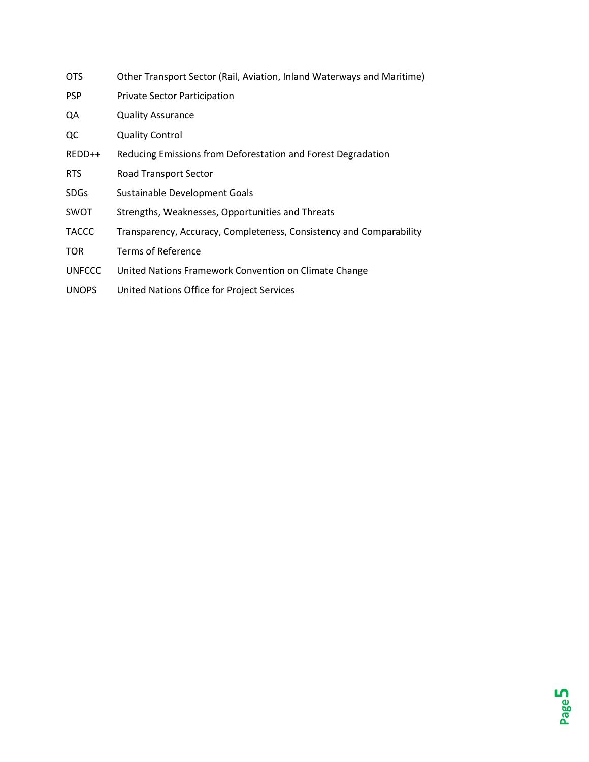| <b>OTS</b>    | Other Transport Sector (Rail, Aviation, Inland Waterways and Maritime) |  |  |
|---------------|------------------------------------------------------------------------|--|--|
| <b>PSP</b>    | <b>Private Sector Participation</b>                                    |  |  |
| QA            | <b>Quality Assurance</b>                                               |  |  |
| QC            | <b>Quality Control</b>                                                 |  |  |
| REDD++        | Reducing Emissions from Deforestation and Forest Degradation           |  |  |
| <b>RTS</b>    | Road Transport Sector                                                  |  |  |
| <b>SDGs</b>   | Sustainable Development Goals                                          |  |  |
| SWOT          | Strengths, Weaknesses, Opportunities and Threats                       |  |  |
| <b>TACCC</b>  | Transparency, Accuracy, Completeness, Consistency and Comparability    |  |  |
| <b>TOR</b>    | <b>Terms of Reference</b>                                              |  |  |
| <b>UNFCCC</b> | United Nations Framework Convention on Climate Change                  |  |  |
| <b>UNOPS</b>  | United Nations Office for Project Services                             |  |  |
|               |                                                                        |  |  |

**Page 5**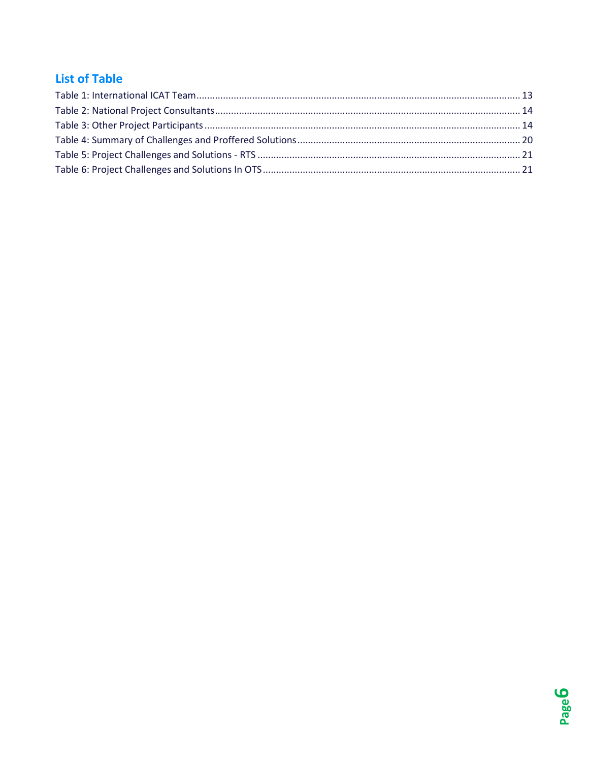# <span id="page-6-0"></span>**List of Table**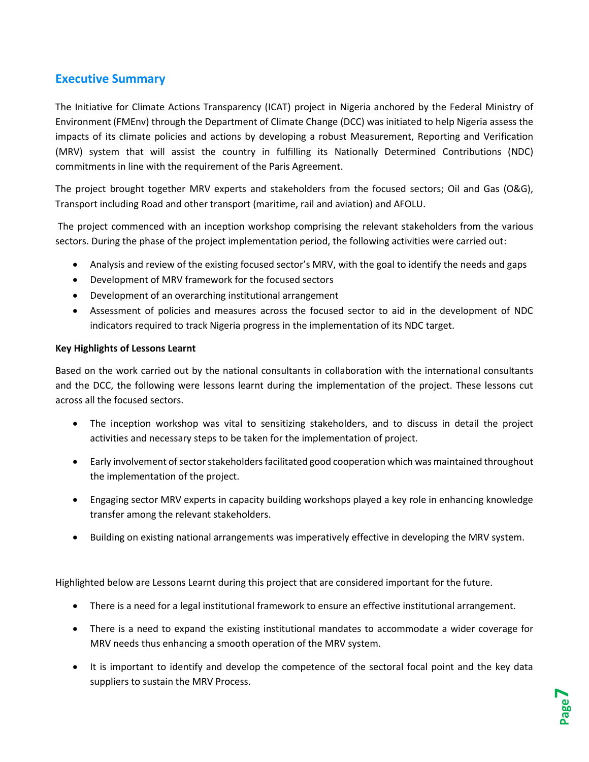# <span id="page-7-0"></span>**Executive Summary**

The Initiative for Climate Actions Transparency (ICAT) project in Nigeria anchored by the Federal Ministry of Environment (FMEnv) through the Department of Climate Change (DCC) was initiated to help Nigeria assess the impacts of its climate policies and actions by developing a robust Measurement, Reporting and Verification (MRV) system that will assist the country in fulfilling its Nationally Determined Contributions (NDC) commitments in line with the requirement of the Paris Agreement.

The project brought together MRV experts and stakeholders from the focused sectors; Oil and Gas (O&G), Transport including Road and other transport (maritime, rail and aviation) and AFOLU.

The project commenced with an inception workshop comprising the relevant stakeholders from the various sectors. During the phase of the project implementation period, the following activities were carried out:

- Analysis and review of the existing focused sector's MRV, with the goal to identify the needs and gaps
- Development of MRV framework for the focused sectors
- Development of an overarching institutional arrangement
- Assessment of policies and measures across the focused sector to aid in the development of NDC indicators required to track Nigeria progress in the implementation of its NDC target.

#### **Key Highlights of Lessons Learnt**

Based on the work carried out by the national consultants in collaboration with the international consultants and the DCC, the following were lessons learnt during the implementation of the project. These lessons cut across all the focused sectors.

- The inception workshop was vital to sensitizing stakeholders, and to discuss in detail the project activities and necessary steps to be taken for the implementation of project.
- Early involvement of sector stakeholders facilitated good cooperation which was maintained throughout the implementation of the project.
- Engaging sector MRV experts in capacity building workshops played a key role in enhancing knowledge transfer among the relevant stakeholders.
- Building on existing national arrangements was imperatively effective in developing the MRV system.

Highlighted below are Lessons Learnt during this project that are considered important for the future.

- There is a need for a legal institutional framework to ensure an effective institutional arrangement.
- There is a need to expand the existing institutional mandates to accommodate a wider coverage for MRV needs thus enhancing a smooth operation of the MRV system.
- It is important to identify and develop the competence of the sectoral focal point and the key data suppliers to sustain the MRV Process.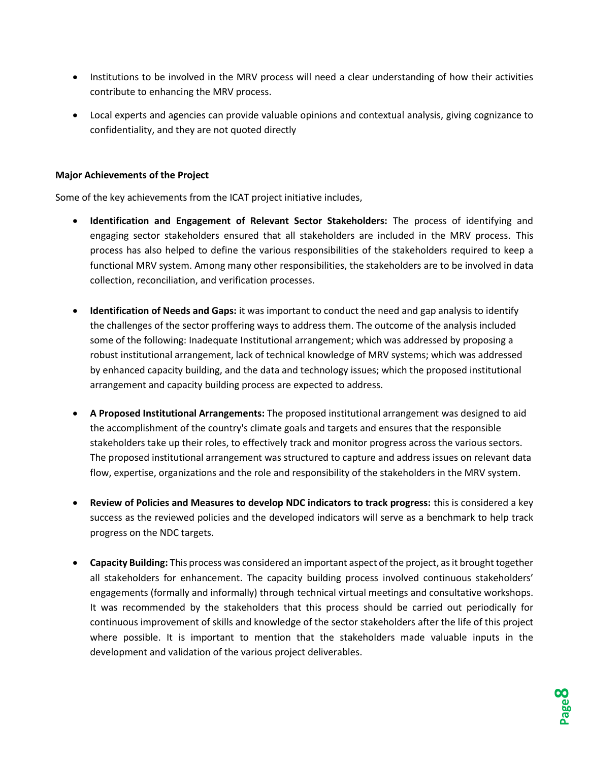- Institutions to be involved in the MRV process will need a clear understanding of how their activities contribute to enhancing the MRV process.
- Local experts and agencies can provide valuable opinions and contextual analysis, giving cognizance to confidentiality, and they are not quoted directly

#### **Major Achievements of the Project**

Some of the key achievements from the ICAT project initiative includes,

- **Identification and Engagement of Relevant Sector Stakeholders:** The process of identifying and engaging sector stakeholders ensured that all stakeholders are included in the MRV process. This process has also helped to define the various responsibilities of the stakeholders required to keep a functional MRV system. Among many other responsibilities, the stakeholders are to be involved in data collection, reconciliation, and verification processes.
- **Identification of Needs and Gaps:** it was important to conduct the need and gap analysis to identify the challenges of the sector proffering ways to address them. The outcome of the analysis included some of the following: Inadequate Institutional arrangement; which was addressed by proposing a robust institutional arrangement, lack of technical knowledge of MRV systems; which was addressed by enhanced capacity building, and the data and technology issues; which the proposed institutional arrangement and capacity building process are expected to address.
- **A Proposed Institutional Arrangements:** The proposed institutional arrangement was designed to aid the accomplishment of the country's climate goals and targets and ensures that the responsible stakeholders take up their roles, to effectively track and monitor progress across the various sectors. The proposed institutional arrangement was structured to capture and address issues on relevant data flow, expertise, organizations and the role and responsibility of the stakeholders in the MRV system.
- **Review of Policies and Measures to develop NDC indicators to track progress:** this is considered a key success as the reviewed policies and the developed indicators will serve as a benchmark to help track progress on the NDC targets.
- **Capacity Building:** This process was considered an important aspect of the project, as it brought together all stakeholders for enhancement. The capacity building process involved continuous stakeholders' engagements (formally and informally) through technical virtual meetings and consultative workshops. It was recommended by the stakeholders that this process should be carried out periodically for continuous improvement of skills and knowledge of the sector stakeholders after the life of this project where possible. It is important to mention that the stakeholders made valuable inputs in the development and validation of the various project deliverables.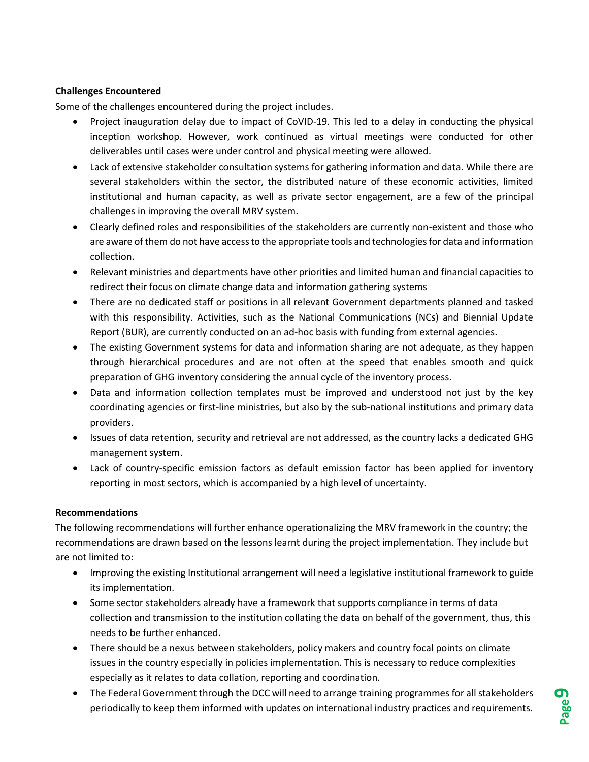#### **Challenges Encountered**

Some of the challenges encountered during the project includes.

- Project inauguration delay due to impact of CoVID-19. This led to a delay in conducting the physical inception workshop. However, work continued as virtual meetings were conducted for other deliverables until cases were under control and physical meeting were allowed.
- Lack of extensive stakeholder consultation systems for gathering information and data. While there are several stakeholders within the sector, the distributed nature of these economic activities, limited institutional and human capacity, as well as private sector engagement, are a few of the principal challenges in improving the overall MRV system.
- Clearly defined roles and responsibilities of the stakeholders are currently non-existent and those who are aware of them do not have access to the appropriate tools and technologies for data and information collection.
- Relevant ministries and departments have other priorities and limited human and financial capacities to redirect their focus on climate change data and information gathering systems
- There are no dedicated staff or positions in all relevant Government departments planned and tasked with this responsibility. Activities, such as the National Communications (NCs) and Biennial Update Report (BUR), are currently conducted on an ad-hoc basis with funding from external agencies.
- The existing Government systems for data and information sharing are not adequate, as they happen through hierarchical procedures and are not often at the speed that enables smooth and quick preparation of GHG inventory considering the annual cycle of the inventory process.
- Data and information collection templates must be improved and understood not just by the key coordinating agencies or first-line ministries, but also by the sub-national institutions and primary data providers.
- Issues of data retention, security and retrieval are not addressed, as the country lacks a dedicated GHG management system.
- Lack of country-specific emission factors as default emission factor has been applied for inventory reporting in most sectors, which is accompanied by a high level of uncertainty.

#### **Recommendations**

The following recommendations will further enhance operationalizing the MRV framework in the country; the recommendations are drawn based on the lessons learnt during the project implementation. They include but are not limited to:

- Improving the existing Institutional arrangement will need a legislative institutional framework to guide its implementation.
- Some sector stakeholders already have a framework that supports compliance in terms of data collection and transmission to the institution collating the data on behalf of the government, thus, this needs to be further enhanced.
- There should be a nexus between stakeholders, policy makers and country focal points on climate issues in the country especially in policies implementation. This is necessary to reduce complexities especially as it relates to data collation, reporting and coordination.
- The Federal Government through the DCC will need to arrange training programmes for all stakeholders periodically to keep them informed with updates on international industry practices and requirements.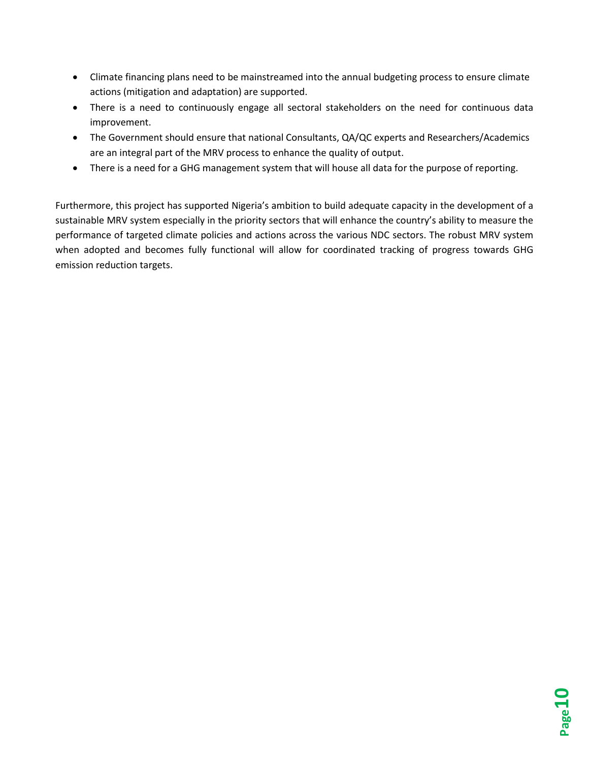- Climate financing plans need to be mainstreamed into the annual budgeting process to ensure climate actions (mitigation and adaptation) are supported.
- There is a need to continuously engage all sectoral stakeholders on the need for continuous data improvement.
- The Government should ensure that national Consultants, QA/QC experts and Researchers/Academics are an integral part of the MRV process to enhance the quality of output.
- There is a need for a GHG management system that will house all data for the purpose of reporting.

Furthermore, this project has supported Nigeria's ambition to build adequate capacity in the development of a sustainable MRV system especially in the priority sectors that will enhance the country's ability to measure the performance of targeted climate policies and actions across the various NDC sectors. The robust MRV system when adopted and becomes fully functional will allow for coordinated tracking of progress towards GHG emission reduction targets.

**Page10**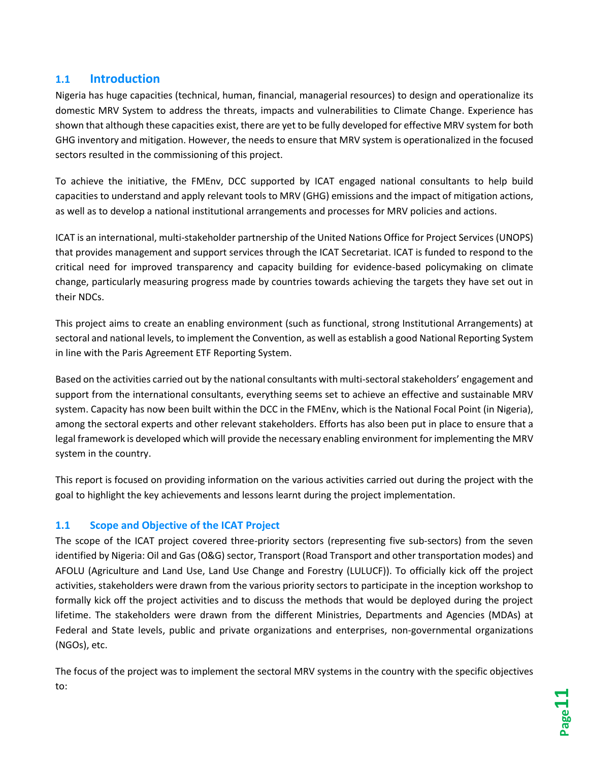# <span id="page-11-0"></span>**1.1 Introduction**

Nigeria has huge capacities (technical, human, financial, managerial resources) to design and operationalize its domestic MRV System to address the threats, impacts and vulnerabilities to Climate Change. Experience has shown that although these capacities exist, there are yet to be fully developed for effective MRV system for both GHG inventory and mitigation. However, the needs to ensure that MRV system is operationalized in the focused sectors resulted in the commissioning of this project.

To achieve the initiative, the FMEnv, DCC supported by ICAT engaged national consultants to help build capacities to understand and apply relevant tools to MRV (GHG) emissions and the impact of mitigation actions, as well as to develop a national institutional arrangements and processes for MRV policies and actions.

ICAT is an international, multi-stakeholder partnership of the United Nations Office for Project Services (UNOPS) that provides management and support services through the ICAT Secretariat. ICAT is funded to respond to the critical need for improved transparency and capacity building for evidence-based policymaking on climate change, particularly measuring progress made by countries towards achieving the targets they have set out in their NDCs.

This project aims to create an enabling environment (such as functional, strong Institutional Arrangements) at sectoral and national levels, to implement the Convention, as well as establish a good National Reporting System in line with the Paris Agreement ETF Reporting System.

Based on the activities carried out by the national consultants with multi-sectoral stakeholders' engagement and support from the international consultants, everything seems set to achieve an effective and sustainable MRV system. Capacity has now been built within the DCC in the FMEnv, which is the National Focal Point (in Nigeria), among the sectoral experts and other relevant stakeholders. Efforts has also been put in place to ensure that a legal framework is developed which will provide the necessary enabling environment for implementing the MRV system in the country.

This report is focused on providing information on the various activities carried out during the project with the goal to highlight the key achievements and lessons learnt during the project implementation.

## <span id="page-11-1"></span>**1.1 Scope and Objective of the ICAT Project**

The scope of the ICAT project covered three-priority sectors (representing five sub-sectors) from the seven identified by Nigeria: Oil and Gas (O&G) sector, Transport (Road Transport and other transportation modes) and AFOLU (Agriculture and Land Use, Land Use Change and Forestry (LULUCF)). To officially kick off the project activities, stakeholders were drawn from the various priority sectors to participate in the inception workshop to formally kick off the project activities and to discuss the methods that would be deployed during the project lifetime. The stakeholders were drawn from the different Ministries, Departments and Agencies (MDAs) at Federal and State levels, public and private organizations and enterprises, non-governmental organizations (NGOs), etc.

The focus of the project was to implement the sectoral MRV systems in the country with the specific objectives to: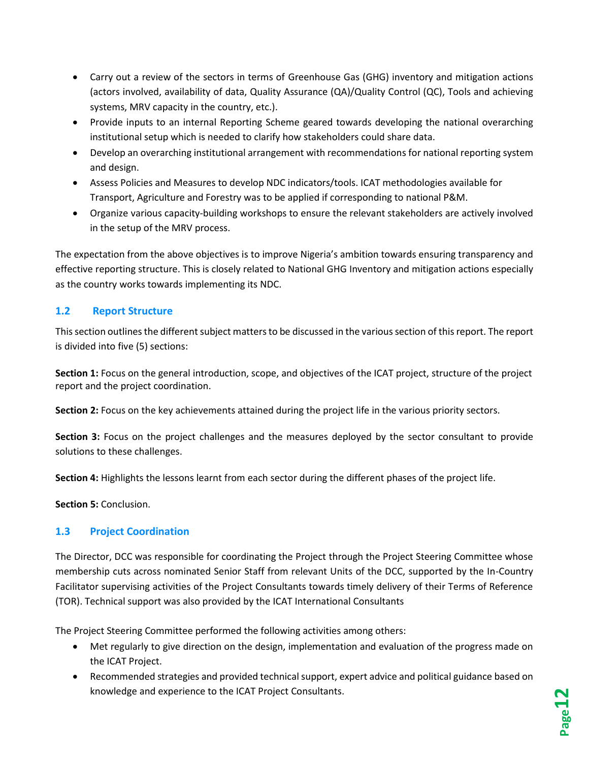- Carry out a review of the sectors in terms of Greenhouse Gas (GHG) inventory and mitigation actions (actors involved, availability of data, Quality Assurance (QA)/Quality Control (QC), Tools and achieving systems, MRV capacity in the country, etc.).
- Provide inputs to an internal Reporting Scheme geared towards developing the national overarching institutional setup which is needed to clarify how stakeholders could share data.
- Develop an overarching institutional arrangement with recommendations for national reporting system and design.
- Assess Policies and Measures to develop NDC indicators/tools. ICAT methodologies available for Transport, Agriculture and Forestry was to be applied if corresponding to national P&M.
- Organize various capacity-building workshops to ensure the relevant stakeholders are actively involved in the setup of the MRV process.

The expectation from the above objectives is to improve Nigeria's ambition towards ensuring transparency and effective reporting structure. This is closely related to National GHG Inventory and mitigation actions especially as the country works towards implementing its NDC.

## <span id="page-12-0"></span>**1.2 Report Structure**

This section outlines the different subject matters to be discussed in the various section of this report. The report is divided into five (5) sections:

**Section 1:** Focus on the general introduction, scope, and objectives of the ICAT project, structure of the project report and the project coordination.

**Section 2:** Focus on the key achievements attained during the project life in the various priority sectors.

**Section 3:** Focus on the project challenges and the measures deployed by the sector consultant to provide solutions to these challenges.

**Section 4:** Highlights the lessons learnt from each sector during the different phases of the project life.

**Section 5:** Conclusion.

# <span id="page-12-1"></span>**1.3 Project Coordination**

The Director, DCC was responsible for coordinating the Project through the Project Steering Committee whose membership cuts across nominated Senior Staff from relevant Units of the DCC, supported by the In-Country Facilitator supervising activities of the Project Consultants towards timely delivery of their Terms of Reference (TOR). Technical support was also provided by the ICAT International Consultants

The Project Steering Committee performed the following activities among others:

- Met regularly to give direction on the design, implementation and evaluation of the progress made on the ICAT Project.
- Recommended strategies and provided technical support, expert advice and political guidance based on knowledge and experience to the ICAT Project Consultants.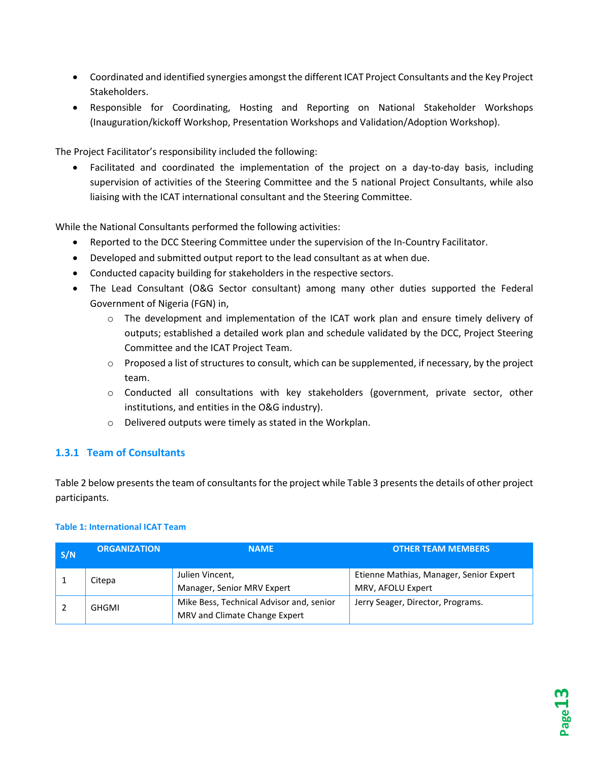- Coordinated and identified synergies amongst the different ICAT Project Consultants and the Key Project Stakeholders.
- Responsible for Coordinating, Hosting and Reporting on National Stakeholder Workshops (Inauguration/kickoff Workshop, Presentation Workshops and Validation/Adoption Workshop).

The Project Facilitator's responsibility included the following:

• Facilitated and coordinated the implementation of the project on a day-to-day basis, including supervision of activities of the Steering Committee and the 5 national Project Consultants, while also liaising with the ICAT international consultant and the Steering Committee.

While the National Consultants performed the following activities:

- Reported to the DCC Steering Committee under the supervision of the In-Country Facilitator.
- Developed and submitted output report to the lead consultant as at when due.
- Conducted capacity building for stakeholders in the respective sectors.
- The Lead Consultant (O&G Sector consultant) among many other duties supported the Federal Government of Nigeria (FGN) in,
	- $\circ$  The development and implementation of the ICAT work plan and ensure timely delivery of outputs; established a detailed work plan and schedule validated by the DCC, Project Steering Committee and the ICAT Project Team.
	- $\circ$  Proposed a list of structures to consult, which can be supplemented, if necessary, by the project team.
	- $\circ$  Conducted all consultations with key stakeholders (government, private sector, other institutions, and entities in the O&G industry).
	- o Delivered outputs were timely as stated in the Workplan.

## <span id="page-13-0"></span>**1.3.1 Team of Consultants**

[Table 2](#page-14-0) below presents the team of consultants for the project whil[e Table 3](#page-14-1) presents the details of other project participants.

#### <span id="page-13-1"></span>**Table 1: International ICAT Team**

| S/N | <b>ORGANIZATION</b> | <b>NAME</b>                                                               | <b>OTHER TEAM MEMBERS</b>                                    |
|-----|---------------------|---------------------------------------------------------------------------|--------------------------------------------------------------|
|     | Citepa              | Julien Vincent,<br>Manager, Senior MRV Expert                             | Etienne Mathias, Manager, Senior Expert<br>MRV, AFOLU Expert |
|     | GHGMI               | Mike Bess, Technical Advisor and, senior<br>MRV and Climate Change Expert | Jerry Seager, Director, Programs.                            |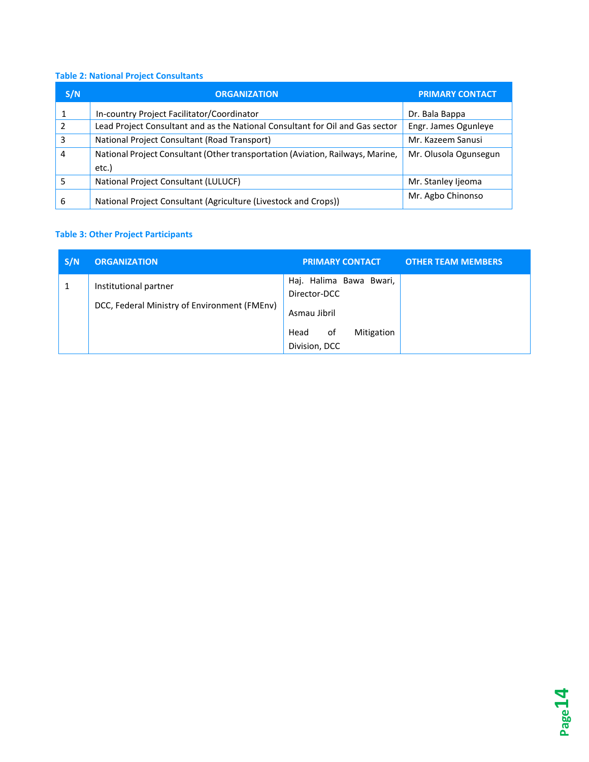# <span id="page-14-0"></span>**Table 2: National Project Consultants**

| S/N | <b>ORGANIZATION</b>                                                                                              | <b>PRIMARY CONTACT</b> |
|-----|------------------------------------------------------------------------------------------------------------------|------------------------|
|     | In-country Project Facilitator/Coordinator                                                                       | Dr. Bala Bappa         |
| 2   | Lead Project Consultant and as the National Consultant for Oil and Gas sector<br>Engr. James Ogunleye            |                        |
| 3   | National Project Consultant (Road Transport)<br>Mr. Kazeem Sanusi                                                |                        |
| 4   | National Project Consultant (Other transportation (Aviation, Railways, Marine,<br>Mr. Olusola Ogunsegun<br>etc.) |                        |
| 5   | National Project Consultant (LULUCF)                                                                             | Mr. Stanley Ijeoma     |
| 6   | National Project Consultant (Agriculture (Livestock and Crops))                                                  | Mr. Agbo Chinonso      |

# <span id="page-14-1"></span>**Table 3: Other Project Participants**

| S/N | <b>ORGANIZATION</b>                                                   | <b>PRIMARY CONTACT</b>                                                                               | <b>OTHER TEAM MEMBERS</b> |
|-----|-----------------------------------------------------------------------|------------------------------------------------------------------------------------------------------|---------------------------|
|     | Institutional partner<br>DCC, Federal Ministry of Environment (FMEnv) | Haj. Halima Bawa Bwari,<br>Director-DCC<br>Asmau Jibril<br>Mitigation<br>Head<br>οf<br>Division, DCC |                           |

**Page14**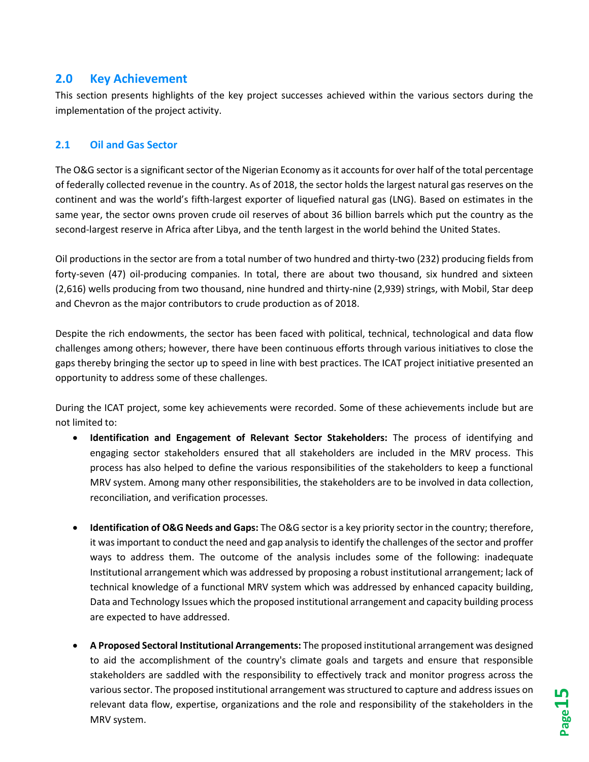# <span id="page-15-0"></span>**2.0 Key Achievement**

This section presents highlights of the key project successes achieved within the various sectors during the implementation of the project activity.

#### <span id="page-15-1"></span>**2.1 Oil and Gas Sector**

The O&G sector is a significant sector of the Nigerian Economy as it accounts for over half of the total percentage of federally collected revenue in the country. As of 2018, the sector holds the largest natural gas reserves on the continent and was the world's fifth-largest exporter of liquefied natural gas (LNG). Based on estimates in the same year, the sector owns proven crude oil reserves of about 36 billion barrels which put the country as the second-largest reserve in Africa after Libya, and the tenth largest in the world behind the United States.

Oil productions in the sector are from a total number of two hundred and thirty-two (232) producing fields from forty-seven (47) oil-producing companies. In total, there are about two thousand, six hundred and sixteen (2,616) wells producing from two thousand, nine hundred and thirty-nine (2,939) strings, with Mobil, Star deep and Chevron as the major contributors to crude production as of 2018.

Despite the rich endowments, the sector has been faced with political, technical, technological and data flow challenges among others; however, there have been continuous efforts through various initiatives to close the gaps thereby bringing the sector up to speed in line with best practices. The ICAT project initiative presented an opportunity to address some of these challenges.

During the ICAT project, some key achievements were recorded. Some of these achievements include but are not limited to:

- **Identification and Engagement of Relevant Sector Stakeholders:** The process of identifying and engaging sector stakeholders ensured that all stakeholders are included in the MRV process. This process has also helped to define the various responsibilities of the stakeholders to keep a functional MRV system. Among many other responsibilities, the stakeholders are to be involved in data collection, reconciliation, and verification processes.
- **Identification of O&G Needs and Gaps:** The O&G sector is a key priority sector in the country; therefore, it was important to conduct the need and gap analysis to identify the challenges of the sector and proffer ways to address them. The outcome of the analysis includes some of the following: inadequate Institutional arrangement which was addressed by proposing a robust institutional arrangement; lack of technical knowledge of a functional MRV system which was addressed by enhanced capacity building, Data and Technology Issues which the proposed institutional arrangement and capacity building process are expected to have addressed.
- **A Proposed Sectoral Institutional Arrangements:** The proposed institutional arrangement was designed to aid the accomplishment of the country's climate goals and targets and ensure that responsible stakeholders are saddled with the responsibility to effectively track and monitor progress across the various sector. The proposed institutional arrangement was structured to capture and address issues on relevant data flow, expertise, organizations and the role and responsibility of the stakeholders in the MRV system.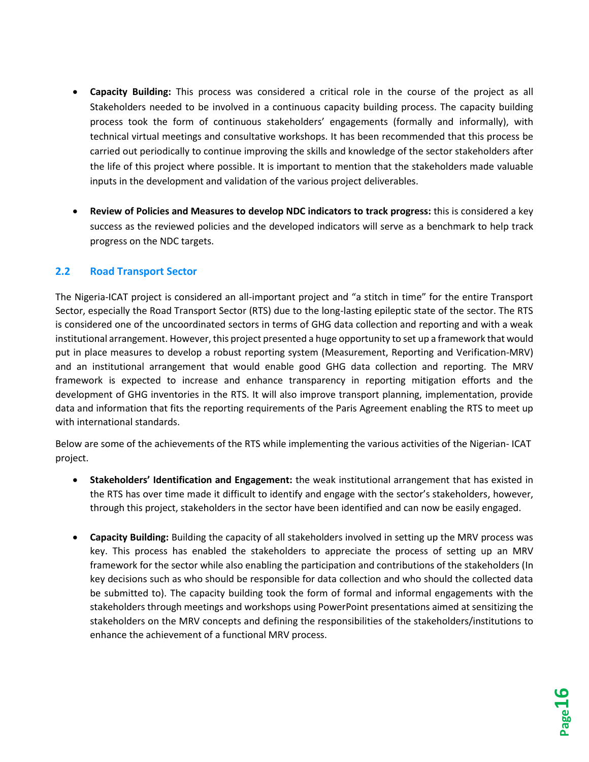- **Capacity Building:** This process was considered a critical role in the course of the project as all Stakeholders needed to be involved in a continuous capacity building process. The capacity building process took the form of continuous stakeholders' engagements (formally and informally), with technical virtual meetings and consultative workshops. It has been recommended that this process be carried out periodically to continue improving the skills and knowledge of the sector stakeholders after the life of this project where possible. It is important to mention that the stakeholders made valuable inputs in the development and validation of the various project deliverables.
- **Review of Policies and Measures to develop NDC indicators to track progress:** this is considered a key success as the reviewed policies and the developed indicators will serve as a benchmark to help track progress on the NDC targets.

#### <span id="page-16-0"></span>**2.2 Road Transport Sector**

The Nigeria-ICAT project is considered an all-important project and "a stitch in time" for the entire Transport Sector, especially the Road Transport Sector (RTS) due to the long-lasting epileptic state of the sector. The RTS is considered one of the uncoordinated sectors in terms of GHG data collection and reporting and with a weak institutional arrangement. However, this project presented a huge opportunity to set up a framework that would put in place measures to develop a robust reporting system (Measurement, Reporting and Verification-MRV) and an institutional arrangement that would enable good GHG data collection and reporting. The MRV framework is expected to increase and enhance transparency in reporting mitigation efforts and the development of GHG inventories in the RTS. It will also improve transport planning, implementation, provide data and information that fits the reporting requirements of the Paris Agreement enabling the RTS to meet up with international standards.

Below are some of the achievements of the RTS while implementing the various activities of the Nigerian- ICAT project.

- **Stakeholders' Identification and Engagement:** the weak institutional arrangement that has existed in the RTS has over time made it difficult to identify and engage with the sector's stakeholders, however, through this project, stakeholders in the sector have been identified and can now be easily engaged.
- **Capacity Building:** Building the capacity of all stakeholders involved in setting up the MRV process was key. This process has enabled the stakeholders to appreciate the process of setting up an MRV framework for the sector while also enabling the participation and contributions of the stakeholders (In key decisions such as who should be responsible for data collection and who should the collected data be submitted to). The capacity building took the form of formal and informal engagements with the stakeholders through meetings and workshops using PowerPoint presentations aimed at sensitizing the stakeholders on the MRV concepts and defining the responsibilities of the stakeholders/institutions to enhance the achievement of a functional MRV process.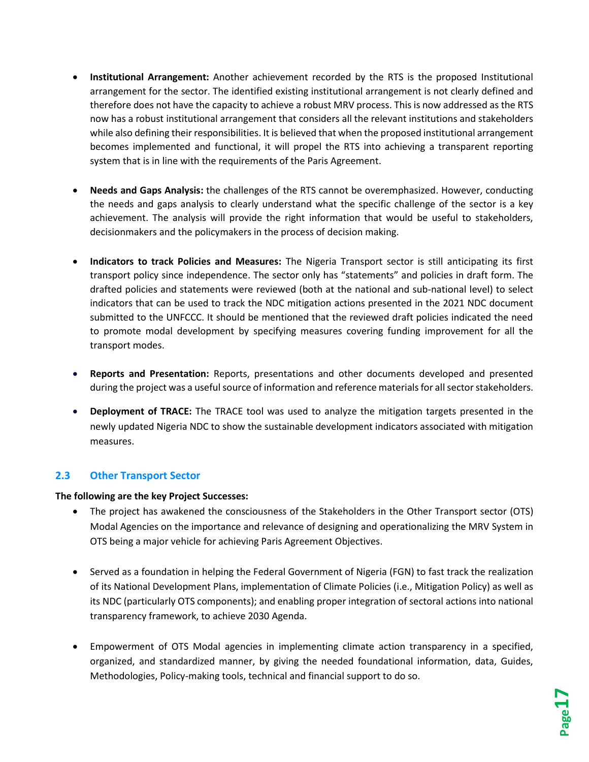- **Institutional Arrangement:** Another achievement recorded by the RTS is the proposed Institutional arrangement for the sector. The identified existing institutional arrangement is not clearly defined and therefore does not have the capacity to achieve a robust MRV process. This is now addressed as the RTS now has a robust institutional arrangement that considers all the relevant institutions and stakeholders while also defining their responsibilities. It is believed that when the proposed institutional arrangement becomes implemented and functional, it will propel the RTS into achieving a transparent reporting system that is in line with the requirements of the Paris Agreement.
- **Needs and Gaps Analysis:** the challenges of the RTS cannot be overemphasized. However, conducting the needs and gaps analysis to clearly understand what the specific challenge of the sector is a key achievement. The analysis will provide the right information that would be useful to stakeholders, decisionmakers and the policymakers in the process of decision making.
- **Indicators to track Policies and Measures:** The Nigeria Transport sector is still anticipating its first transport policy since independence. The sector only has "statements" and policies in draft form. The drafted policies and statements were reviewed (both at the national and sub-national level) to select indicators that can be used to track the NDC mitigation actions presented in the 2021 NDC document submitted to the UNFCCC. It should be mentioned that the reviewed draft policies indicated the need to promote modal development by specifying measures covering funding improvement for all the transport modes.
- **Reports and Presentation:** Reports, presentations and other documents developed and presented during the project was a useful source of information and reference materials for all sector stakeholders.
- **Deployment of TRACE:** The TRACE tool was used to analyze the mitigation targets presented in the newly updated Nigeria NDC to show the sustainable development indicators associated with mitigation measures.

#### <span id="page-17-0"></span>**2.3 Other Transport Sector**

#### **The following are the key Project Successes:**

- The project has awakened the consciousness of the Stakeholders in the Other Transport sector (OTS) Modal Agencies on the importance and relevance of designing and operationalizing the MRV System in OTS being a major vehicle for achieving Paris Agreement Objectives.
- Served as a foundation in helping the Federal Government of Nigeria (FGN) to fast track the realization of its National Development Plans, implementation of Climate Policies (i.e., Mitigation Policy) as well as its NDC (particularly OTS components); and enabling proper integration of sectoral actions into national transparency framework, to achieve 2030 Agenda.
- Empowerment of OTS Modal agencies in implementing climate action transparency in a specified, organized, and standardized manner, by giving the needed foundational information, data, Guides, Methodologies, Policy-making tools, technical and financial support to do so.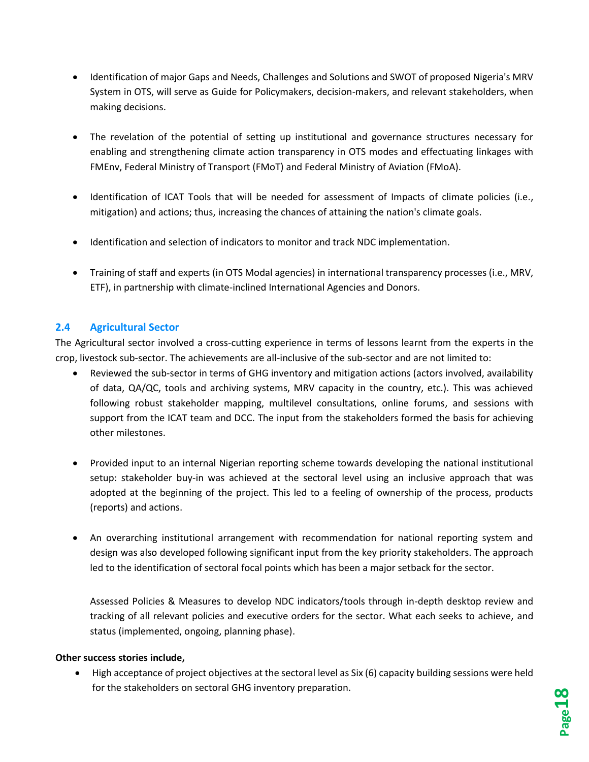- Identification of major Gaps and Needs, Challenges and Solutions and SWOT of proposed Nigeria's MRV System in OTS, will serve as Guide for Policymakers, decision-makers, and relevant stakeholders, when making decisions.
- The revelation of the potential of setting up institutional and governance structures necessary for enabling and strengthening climate action transparency in OTS modes and effectuating linkages with FMEnv, Federal Ministry of Transport (FMoT) and Federal Ministry of Aviation (FMoA).
- Identification of ICAT Tools that will be needed for assessment of Impacts of climate policies (i.e., mitigation) and actions; thus, increasing the chances of attaining the nation's climate goals.
- Identification and selection of indicators to monitor and track NDC implementation.
- Training of staff and experts (in OTS Modal agencies) in international transparency processes (i.e., MRV, ETF), in partnership with climate-inclined International Agencies and Donors.

## <span id="page-18-0"></span>**2.4 Agricultural Sector**

The Agricultural sector involved a cross-cutting experience in terms of lessons learnt from the experts in the crop, livestock sub-sector. The achievements are all-inclusive of the sub-sector and are not limited to:

- Reviewed the sub-sector in terms of GHG inventory and mitigation actions (actors involved, availability of data, QA/QC, tools and archiving systems, MRV capacity in the country, etc.). This was achieved following robust stakeholder mapping, multilevel consultations, online forums, and sessions with support from the ICAT team and DCC. The input from the stakeholders formed the basis for achieving other milestones.
- Provided input to an internal Nigerian reporting scheme towards developing the national institutional setup: stakeholder buy-in was achieved at the sectoral level using an inclusive approach that was adopted at the beginning of the project. This led to a feeling of ownership of the process, products (reports) and actions.
- An overarching institutional arrangement with recommendation for national reporting system and design was also developed following significant input from the key priority stakeholders. The approach led to the identification of sectoral focal points which has been a major setback for the sector.

Assessed Policies & Measures to develop NDC indicators/tools through in-depth desktop review and tracking of all relevant policies and executive orders for the sector. What each seeks to achieve, and status (implemented, ongoing, planning phase).

#### **Other success stories include,**

• High acceptance of project objectives at the sectoral level as Six (6) capacity building sessions were held for the stakeholders on sectoral GHG inventory preparation.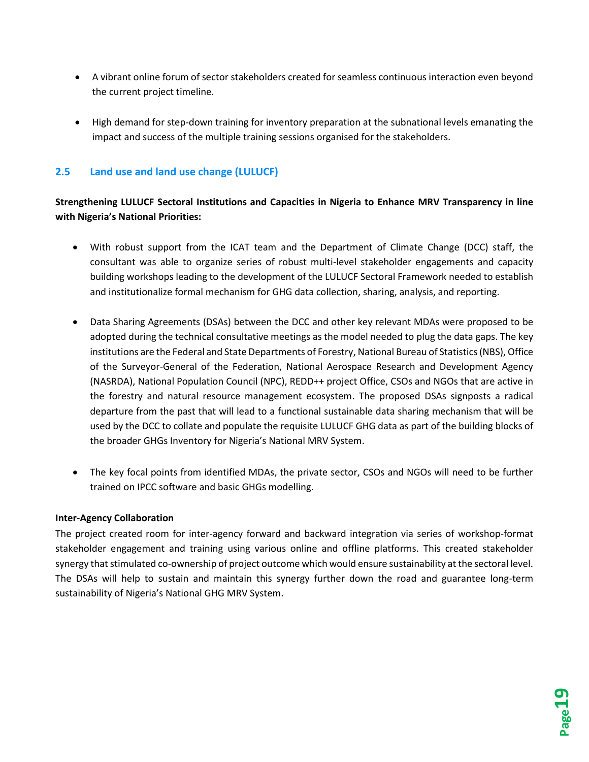- A vibrant online forum of sector stakeholders created for seamless continuous interaction even beyond the current project timeline.
- High demand for step-down training for inventory preparation at the subnational levels emanating the impact and success of the multiple training sessions organised for the stakeholders.

# <span id="page-19-0"></span>**2.5 Land use and land use change (LULUCF)**

## **Strengthening LULUCF Sectoral Institutions and Capacities in Nigeria to Enhance MRV Transparency in line with Nigeria's National Priorities:**

- With robust support from the ICAT team and the Department of Climate Change (DCC) staff, the consultant was able to organize series of robust multi-level stakeholder engagements and capacity building workshops leading to the development of the LULUCF Sectoral Framework needed to establish and institutionalize formal mechanism for GHG data collection, sharing, analysis, and reporting.
- Data Sharing Agreements (DSAs) between the DCC and other key relevant MDAs were proposed to be adopted during the technical consultative meetings as the model needed to plug the data gaps. The key institutions are the Federal and State Departments of Forestry, National Bureau of Statistics (NBS), Office of the Surveyor-General of the Federation, National Aerospace Research and Development Agency (NASRDA), National Population Council (NPC), REDD++ project Office, CSOs and NGOs that are active in the forestry and natural resource management ecosystem. The proposed DSAs signposts a radical departure from the past that will lead to a functional sustainable data sharing mechanism that will be used by the DCC to collate and populate the requisite LULUCF GHG data as part of the building blocks of the broader GHGs Inventory for Nigeria's National MRV System.
- The key focal points from identified MDAs, the private sector, CSOs and NGOs will need to be further trained on IPCC software and basic GHGs modelling.

#### **Inter-Agency Collaboration**

The project created room for inter-agency forward and backward integration via series of workshop-format stakeholder engagement and training using various online and offline platforms. This created stakeholder synergy that stimulated co-ownership of project outcome which would ensure sustainability at the sectoral level. The DSAs will help to sustain and maintain this synergy further down the road and guarantee long-term sustainability of Nigeria's National GHG MRV System.

**Page19**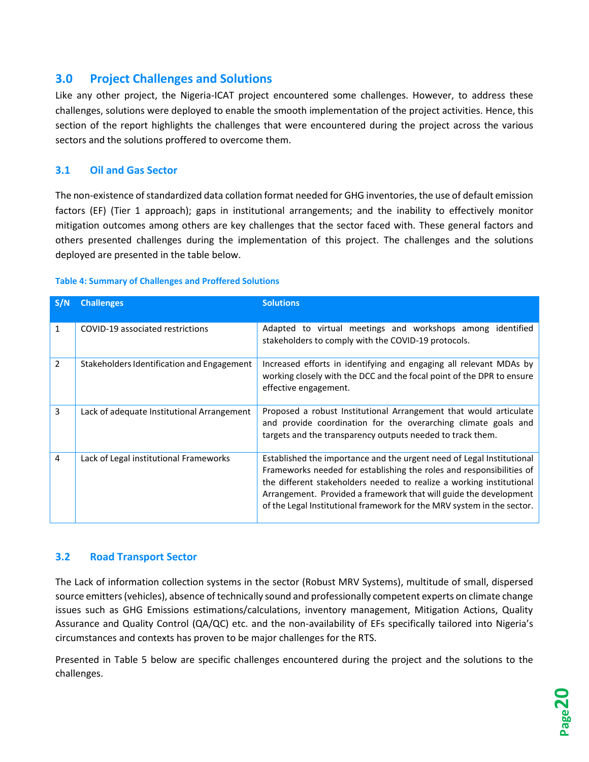# <span id="page-20-0"></span>**3.0 Project Challenges and Solutions**

Like any other project, the Nigeria-ICAT project encountered some challenges. However, to address these challenges, solutions were deployed to enable the smooth implementation of the project activities. Hence, this section of the report highlights the challenges that were encountered during the project across the various sectors and the solutions proffered to overcome them.

## <span id="page-20-1"></span>**3.1 Oil and Gas Sector**

The non-existence of standardized data collation format needed for GHG inventories, the use of default emission factors (EF) (Tier 1 approach); gaps in institutional arrangements; and the inability to effectively monitor mitigation outcomes among others are key challenges that the sector faced with. These general factors and others presented challenges during the implementation of this project. The challenges and the solutions deployed are presented in the table below.

#### <span id="page-20-3"></span>**Table 4: Summary of Challenges and Proffered Solutions**

| S/N            | <b>Challenges</b>                          | <b>Solutions</b>                                                                                                                                                                                                                                                                                                                                                     |
|----------------|--------------------------------------------|----------------------------------------------------------------------------------------------------------------------------------------------------------------------------------------------------------------------------------------------------------------------------------------------------------------------------------------------------------------------|
| 1              | COVID-19 associated restrictions           | Adapted to virtual meetings and workshops among identified<br>stakeholders to comply with the COVID-19 protocols.                                                                                                                                                                                                                                                    |
| $\overline{2}$ | Stakeholders Identification and Engagement | Increased efforts in identifying and engaging all relevant MDAs by<br>working closely with the DCC and the focal point of the DPR to ensure<br>effective engagement.                                                                                                                                                                                                 |
| 3              | Lack of adequate Institutional Arrangement | Proposed a robust Institutional Arrangement that would articulate<br>and provide coordination for the overarching climate goals and<br>targets and the transparency outputs needed to track them.                                                                                                                                                                    |
| 4              | Lack of Legal institutional Frameworks     | Established the importance and the urgent need of Legal Institutional<br>Frameworks needed for establishing the roles and responsibilities of<br>the different stakeholders needed to realize a working institutional<br>Arrangement. Provided a framework that will guide the development<br>of the Legal Institutional framework for the MRV system in the sector. |

#### <span id="page-20-2"></span>**3.2 Road Transport Sector**

The Lack of information collection systems in the sector (Robust MRV Systems), multitude of small, dispersed source emitters (vehicles), absence of technically sound and professionally competent experts on climate change issues such as GHG Emissions estimations/calculations, inventory management, Mitigation Actions, Quality Assurance and Quality Control (QA/QC) etc. and the non-availability of EFs specifically tailored into Nigeria's circumstances and contexts has proven to be major challenges for the RTS.

Presented in [Table 5](#page-21-2) below are specific challenges encountered during the project and the solutions to the challenges.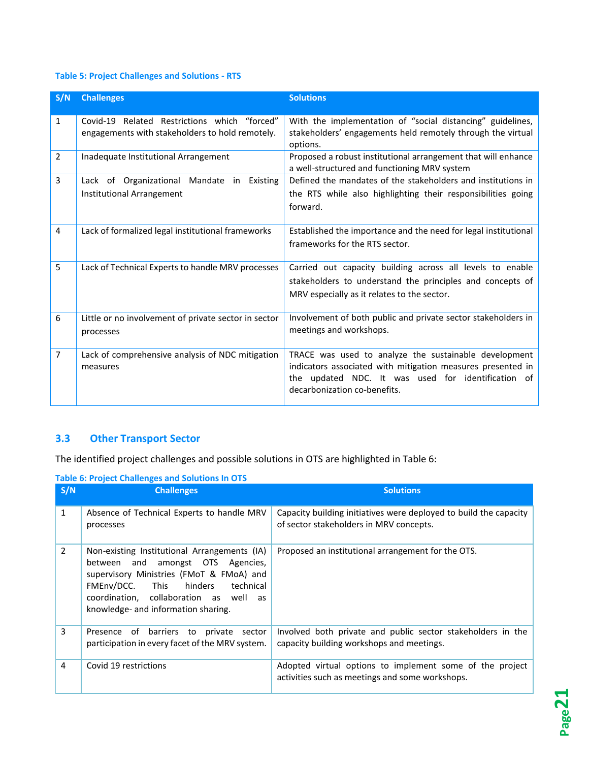# <span id="page-21-2"></span>**Table 5: Project Challenges and Solutions - RTS**

| S/N            | <b>Challenges</b>                                                                               | <b>Solutions</b>                                                                                                                                                                                           |
|----------------|-------------------------------------------------------------------------------------------------|------------------------------------------------------------------------------------------------------------------------------------------------------------------------------------------------------------|
| 1              | Covid-19 Related Restrictions which "forced"<br>engagements with stakeholders to hold remotely. | With the implementation of "social distancing" guidelines,<br>stakeholders' engagements held remotely through the virtual<br>options.                                                                      |
| $\overline{2}$ | Inadequate Institutional Arrangement                                                            | Proposed a robust institutional arrangement that will enhance<br>a well-structured and functioning MRV system                                                                                              |
| 3              | Lack of Organizational Mandate in Existing<br><b>Institutional Arrangement</b>                  | Defined the mandates of the stakeholders and institutions in<br>the RTS while also highlighting their responsibilities going<br>forward.                                                                   |
| 4              | Lack of formalized legal institutional frameworks                                               | Established the importance and the need for legal institutional<br>frameworks for the RTS sector.                                                                                                          |
| 5              | Lack of Technical Experts to handle MRV processes                                               | Carried out capacity building across all levels to enable<br>stakeholders to understand the principles and concepts of<br>MRV especially as it relates to the sector.                                      |
| 6              | Little or no involvement of private sector in sector<br>processes                               | Involvement of both public and private sector stakeholders in<br>meetings and workshops.                                                                                                                   |
| 7              | Lack of comprehensive analysis of NDC mitigation<br>measures                                    | TRACE was used to analyze the sustainable development<br>indicators associated with mitigation measures presented in<br>the updated NDC. It was used for identification of<br>decarbonization co-benefits. |

## <span id="page-21-0"></span>**3.3 Other Transport Sector**

The identified project challenges and possible solutions in OTS are highlighted i[n Table 6:](#page-21-3)

<span id="page-21-1"></span>

| S/N            | <b>Challenges</b>                                                                                                                                                                                                                                      | <b>Solutions</b>                                                                                             |
|----------------|--------------------------------------------------------------------------------------------------------------------------------------------------------------------------------------------------------------------------------------------------------|--------------------------------------------------------------------------------------------------------------|
| $\mathbf{1}$   | Absence of Technical Experts to handle MRV<br>processes                                                                                                                                                                                                | Capacity building initiatives were deployed to build the capacity<br>of sector stakeholders in MRV concepts. |
| $\overline{2}$ | Non-existing Institutional Arrangements (IA)<br>between and amongst OTS Agencies,<br>supervisory Ministries (FMoT & FMoA) and<br>FMEnv/DCC. This hinders<br>technical<br>coordination, collaboration as well as<br>knowledge- and information sharing. | Proposed an institutional arrangement for the OTS.                                                           |
| 3              | Presence of barriers to private sector<br>participation in every facet of the MRV system.                                                                                                                                                              | Involved both private and public sector stakeholders in the<br>capacity building workshops and meetings.     |
| 4              | Covid 19 restrictions                                                                                                                                                                                                                                  | Adopted virtual options to implement some of the project<br>activities such as meetings and some workshops.  |

<span id="page-21-3"></span>**Table 6: Project Challenges and Solutions In OTS**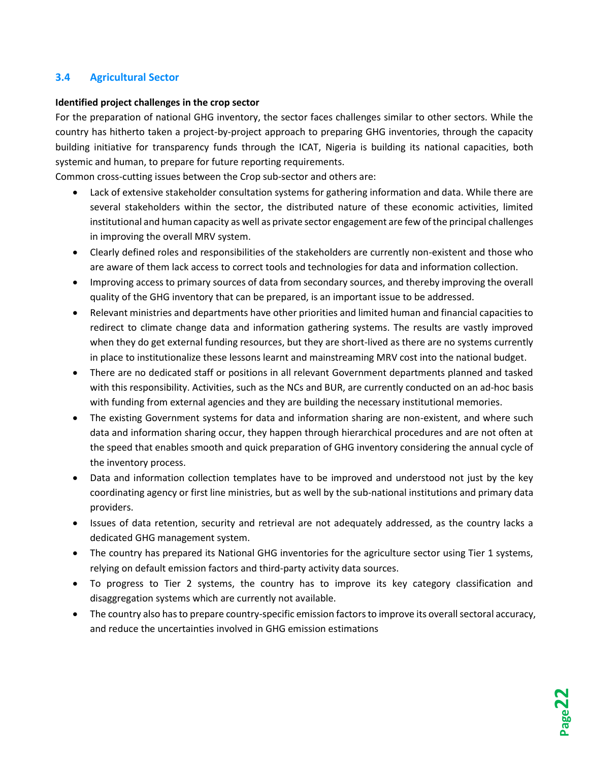## **3.4 Agricultural Sector**

#### **Identified project challenges in the crop sector**

For the preparation of national GHG inventory, the sector faces challenges similar to other sectors. While the country has hitherto taken a project-by-project approach to preparing GHG inventories, through the capacity building initiative for transparency funds through the ICAT, Nigeria is building its national capacities, both systemic and human, to prepare for future reporting requirements.

Common cross-cutting issues between the Crop sub-sector and others are:

- Lack of extensive stakeholder consultation systems for gathering information and data. While there are several stakeholders within the sector, the distributed nature of these economic activities, limited institutional and human capacity as well as private sector engagement are few of the principal challenges in improving the overall MRV system.
- Clearly defined roles and responsibilities of the stakeholders are currently non-existent and those who are aware of them lack access to correct tools and technologies for data and information collection.
- Improving access to primary sources of data from secondary sources, and thereby improving the overall quality of the GHG inventory that can be prepared, is an important issue to be addressed.
- Relevant ministries and departments have other priorities and limited human and financial capacities to redirect to climate change data and information gathering systems. The results are vastly improved when they do get external funding resources, but they are short-lived as there are no systems currently in place to institutionalize these lessons learnt and mainstreaming MRV cost into the national budget.
- There are no dedicated staff or positions in all relevant Government departments planned and tasked with this responsibility. Activities, such as the NCs and BUR, are currently conducted on an ad-hoc basis with funding from external agencies and they are building the necessary institutional memories.
- The existing Government systems for data and information sharing are non-existent, and where such data and information sharing occur, they happen through hierarchical procedures and are not often at the speed that enables smooth and quick preparation of GHG inventory considering the annual cycle of the inventory process.
- Data and information collection templates have to be improved and understood not just by the key coordinating agency or first line ministries, but as well by the sub-national institutions and primary data providers.
- Issues of data retention, security and retrieval are not adequately addressed, as the country lacks a dedicated GHG management system.
- The country has prepared its National GHG inventories for the agriculture sector using Tier 1 systems, relying on default emission factors and third-party activity data sources.
- To progress to Tier 2 systems, the country has to improve its key category classification and disaggregation systems which are currently not available.
- The country also has to prepare country-specific emission factors to improve its overall sectoral accuracy, and reduce the uncertainties involved in GHG emission estimations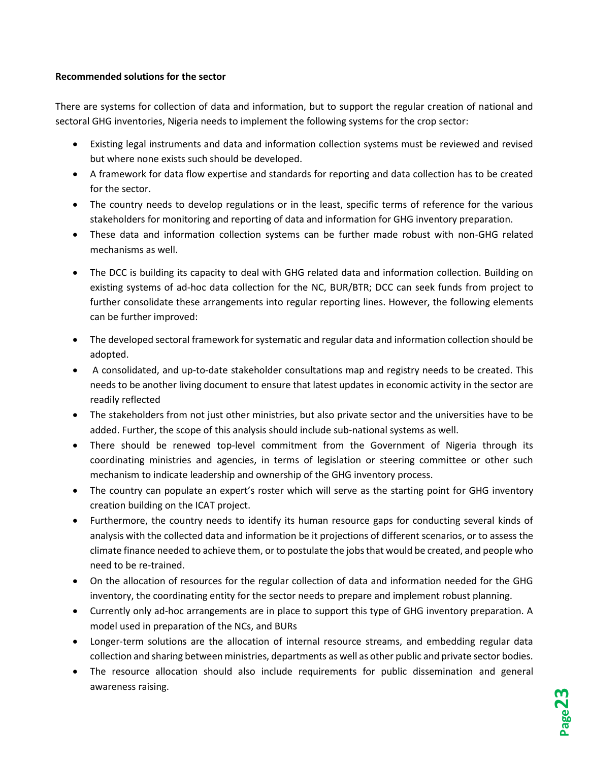#### **Recommended solutions for the sector**

There are systems for collection of data and information, but to support the regular creation of national and sectoral GHG inventories, Nigeria needs to implement the following systems for the crop sector:

- Existing legal instruments and data and information collection systems must be reviewed and revised but where none exists such should be developed.
- A framework for data flow expertise and standards for reporting and data collection has to be created for the sector.
- The country needs to develop regulations or in the least, specific terms of reference for the various stakeholders for monitoring and reporting of data and information for GHG inventory preparation.
- These data and information collection systems can be further made robust with non-GHG related mechanisms as well.
- The DCC is building its capacity to deal with GHG related data and information collection. Building on existing systems of ad-hoc data collection for the NC, BUR/BTR; DCC can seek funds from project to further consolidate these arrangements into regular reporting lines. However, the following elements can be further improved:
- The developed sectoral framework for systematic and regular data and information collection should be adopted.
- A consolidated, and up-to-date stakeholder consultations map and registry needs to be created. This needs to be another living document to ensure that latest updates in economic activity in the sector are readily reflected
- The stakeholders from not just other ministries, but also private sector and the universities have to be added. Further, the scope of this analysis should include sub-national systems as well.
- There should be renewed top-level commitment from the Government of Nigeria through its coordinating ministries and agencies, in terms of legislation or steering committee or other such mechanism to indicate leadership and ownership of the GHG inventory process.
- The country can populate an expert's roster which will serve as the starting point for GHG inventory creation building on the ICAT project.
- Furthermore, the country needs to identify its human resource gaps for conducting several kinds of analysis with the collected data and information be it projections of different scenarios, or to assess the climate finance needed to achieve them, or to postulate the jobs that would be created, and people who need to be re-trained.
- On the allocation of resources for the regular collection of data and information needed for the GHG inventory, the coordinating entity for the sector needs to prepare and implement robust planning.
- Currently only ad-hoc arrangements are in place to support this type of GHG inventory preparation. A model used in preparation of the NCs, and BURs
- Longer-term solutions are the allocation of internal resource streams, and embedding regular data collection and sharing between ministries, departments as well as other public and private sector bodies.
- The resource allocation should also include requirements for public dissemination and general awareness raising.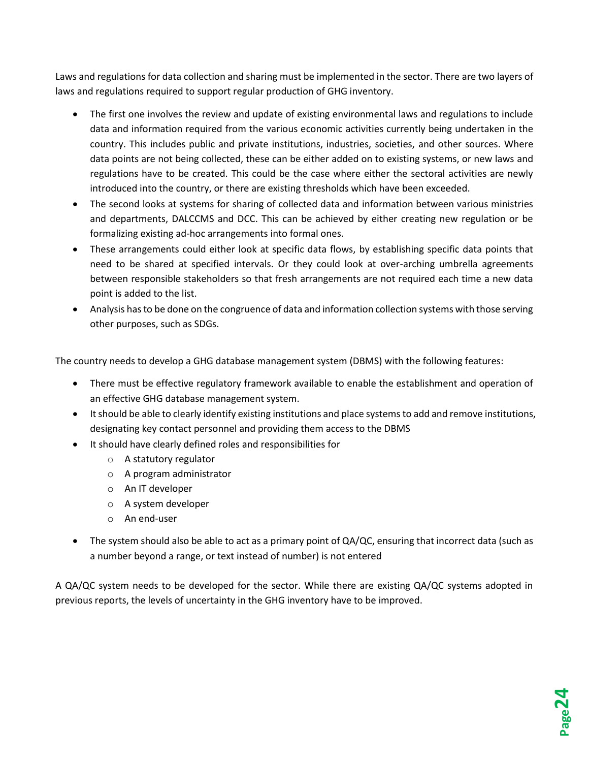Laws and regulations for data collection and sharing must be implemented in the sector. There are two layers of laws and regulations required to support regular production of GHG inventory.

- The first one involves the review and update of existing environmental laws and regulations to include data and information required from the various economic activities currently being undertaken in the country. This includes public and private institutions, industries, societies, and other sources. Where data points are not being collected, these can be either added on to existing systems, or new laws and regulations have to be created. This could be the case where either the sectoral activities are newly introduced into the country, or there are existing thresholds which have been exceeded.
- The second looks at systems for sharing of collected data and information between various ministries and departments, DALCCMS and DCC. This can be achieved by either creating new regulation or be formalizing existing ad-hoc arrangements into formal ones.
- These arrangements could either look at specific data flows, by establishing specific data points that need to be shared at specified intervals. Or they could look at over-arching umbrella agreements between responsible stakeholders so that fresh arrangements are not required each time a new data point is added to the list.
- Analysis has to be done on the congruence of data and information collection systems with those serving other purposes, such as SDGs.

The country needs to develop a GHG database management system (DBMS) with the following features:

- There must be effective regulatory framework available to enable the establishment and operation of an effective GHG database management system.
- It should be able to clearly identify existing institutions and place systems to add and remove institutions, designating key contact personnel and providing them access to the DBMS
- It should have clearly defined roles and responsibilities for
	- o A statutory regulator
	- o A program administrator
	- o An IT developer
	- o A system developer
	- o An end-user
- The system should also be able to act as a primary point of QA/QC, ensuring that incorrect data (such as a number beyond a range, or text instead of number) is not entered

A QA/QC system needs to be developed for the sector. While there are existing QA/QC systems adopted in previous reports, the levels of uncertainty in the GHG inventory have to be improved.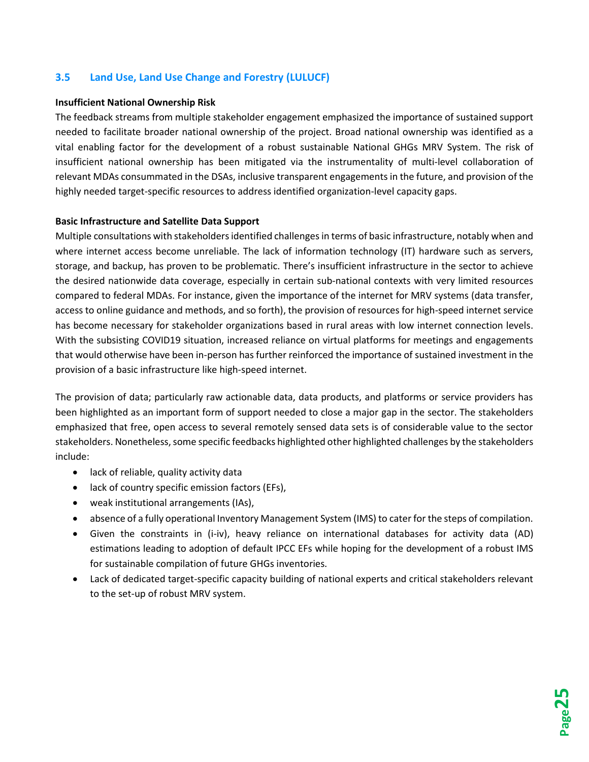### <span id="page-25-0"></span>**3.5 Land Use, Land Use Change and Forestry (LULUCF)**

#### **Insufficient National Ownership Risk**

The feedback streams from multiple stakeholder engagement emphasized the importance of sustained support needed to facilitate broader national ownership of the project. Broad national ownership was identified as a vital enabling factor for the development of a robust sustainable National GHGs MRV System. The risk of insufficient national ownership has been mitigated via the instrumentality of multi-level collaboration of relevant MDAs consummated in the DSAs, inclusive transparent engagements in the future, and provision of the highly needed target-specific resources to address identified organization-level capacity gaps.

#### **Basic Infrastructure and Satellite Data Support**

Multiple consultations with stakeholders identified challenges in terms of basic infrastructure, notably when and where internet access become unreliable. The lack of information technology (IT) hardware such as servers, storage, and backup, has proven to be problematic. There's insufficient infrastructure in the sector to achieve the desired nationwide data coverage, especially in certain sub-national contexts with very limited resources compared to federal MDAs. For instance, given the importance of the internet for MRV systems (data transfer, access to online guidance and methods, and so forth), the provision of resources for high-speed internet service has become necessary for stakeholder organizations based in rural areas with low internet connection levels. With the subsisting COVID19 situation, increased reliance on virtual platforms for meetings and engagements that would otherwise have been in-person has further reinforced the importance of sustained investment in the provision of a basic infrastructure like high-speed internet.

The provision of data; particularly raw actionable data, data products, and platforms or service providers has been highlighted as an important form of support needed to close a major gap in the sector. The stakeholders emphasized that free, open access to several remotely sensed data sets is of considerable value to the sector stakeholders. Nonetheless, some specific feedbacks highlighted other highlighted challenges by the stakeholders include:

- lack of reliable, quality activity data
- lack of country specific emission factors (EFs),
- weak institutional arrangements (IAs),
- absence of a fully operational Inventory Management System (IMS) to cater for the steps of compilation.
- Given the constraints in (i-iv), heavy reliance on international databases for activity data (AD) estimations leading to adoption of default IPCC EFs while hoping for the development of a robust IMS for sustainable compilation of future GHGs inventories.
- Lack of dedicated target-specific capacity building of national experts and critical stakeholders relevant to the set-up of robust MRV system.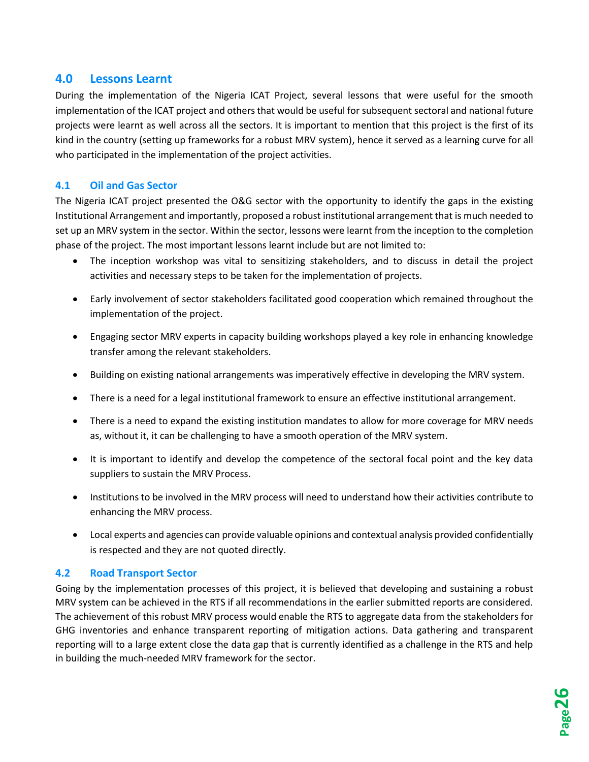# <span id="page-26-0"></span>**4.0 Lessons Learnt**

During the implementation of the Nigeria ICAT Project, several lessons that were useful for the smooth implementation of the ICAT project and others that would be useful for subsequent sectoral and national future projects were learnt as well across all the sectors. It is important to mention that this project is the first of its kind in the country (setting up frameworks for a robust MRV system), hence it served as a learning curve for all who participated in the implementation of the project activities.

# <span id="page-26-1"></span>**4.1 Oil and Gas Sector**

The Nigeria ICAT project presented the O&G sector with the opportunity to identify the gaps in the existing Institutional Arrangement and importantly, proposed a robust institutional arrangement that is much needed to set up an MRV system in the sector. Within the sector, lessons were learnt from the inception to the completion phase of the project. The most important lessons learnt include but are not limited to:

- The inception workshop was vital to sensitizing stakeholders, and to discuss in detail the project activities and necessary steps to be taken for the implementation of projects.
- Early involvement of sector stakeholders facilitated good cooperation which remained throughout the implementation of the project.
- Engaging sector MRV experts in capacity building workshops played a key role in enhancing knowledge transfer among the relevant stakeholders.
- Building on existing national arrangements was imperatively effective in developing the MRV system.
- There is a need for a legal institutional framework to ensure an effective institutional arrangement.
- There is a need to expand the existing institution mandates to allow for more coverage for MRV needs as, without it, it can be challenging to have a smooth operation of the MRV system.
- It is important to identify and develop the competence of the sectoral focal point and the key data suppliers to sustain the MRV Process.
- Institutions to be involved in the MRV process will need to understand how their activities contribute to enhancing the MRV process.
- Local experts and agencies can provide valuable opinions and contextual analysis provided confidentially is respected and they are not quoted directly.

## <span id="page-26-2"></span>**4.2 Road Transport Sector**

Going by the implementation processes of this project, it is believed that developing and sustaining a robust MRV system can be achieved in the RTS if all recommendations in the earlier submitted reports are considered. The achievement of this robust MRV process would enable the RTS to aggregate data from the stakeholders for GHG inventories and enhance transparent reporting of mitigation actions. Data gathering and transparent reporting will to a large extent close the data gap that is currently identified as a challenge in the RTS and help in building the much-needed MRV framework for the sector.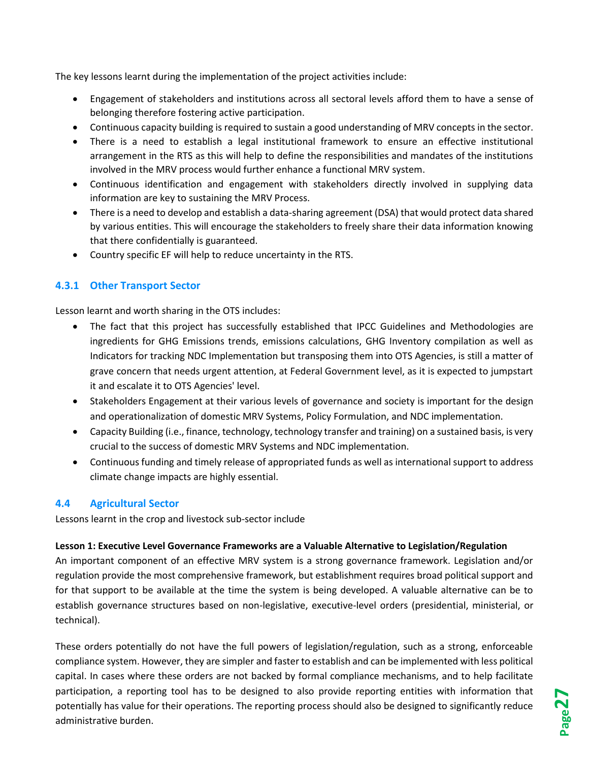The key lessons learnt during the implementation of the project activities include:

- Engagement of stakeholders and institutions across all sectoral levels afford them to have a sense of belonging therefore fostering active participation.
- Continuous capacity building is required to sustain a good understanding of MRV concepts in the sector.
- There is a need to establish a legal institutional framework to ensure an effective institutional arrangement in the RTS as this will help to define the responsibilities and mandates of the institutions involved in the MRV process would further enhance a functional MRV system.
- Continuous identification and engagement with stakeholders directly involved in supplying data information are key to sustaining the MRV Process.
- There is a need to develop and establish a data-sharing agreement (DSA) that would protect data shared by various entities. This will encourage the stakeholders to freely share their data information knowing that there confidentially is guaranteed.
- Country specific EF will help to reduce uncertainty in the RTS.

# <span id="page-27-0"></span>**4.3.1 Other Transport Sector**

Lesson learnt and worth sharing in the OTS includes:

- The fact that this project has successfully established that IPCC Guidelines and Methodologies are ingredients for GHG Emissions trends, emissions calculations, GHG Inventory compilation as well as Indicators for tracking NDC Implementation but transposing them into OTS Agencies, is still a matter of grave concern that needs urgent attention, at Federal Government level, as it is expected to jumpstart it and escalate it to OTS Agencies' level.
- Stakeholders Engagement at their various levels of governance and society is important for the design and operationalization of domestic MRV Systems, Policy Formulation, and NDC implementation.
- Capacity Building (i.e., finance, technology, technology transfer and training) on a sustained basis, is very crucial to the success of domestic MRV Systems and NDC implementation.
- Continuous funding and timely release of appropriated funds as well as international support to address climate change impacts are highly essential.

## <span id="page-27-1"></span>**4.4 Agricultural Sector**

Lessons learnt in the crop and livestock sub-sector include

#### **Lesson 1: Executive Level Governance Frameworks are a Valuable Alternative to Legislation/Regulation**

An important component of an effective MRV system is a strong governance framework. Legislation and/or regulation provide the most comprehensive framework, but establishment requires broad political support and for that support to be available at the time the system is being developed. A valuable alternative can be to establish governance structures based on non-legislative, executive-level orders (presidential, ministerial, or technical).

These orders potentially do not have the full powers of legislation/regulation, such as a strong, enforceable compliance system. However, they are simpler and faster to establish and can be implemented with less political capital. In cases where these orders are not backed by formal compliance mechanisms, and to help facilitate participation, a reporting tool has to be designed to also provide reporting entities with information that potentially has value for their operations. The reporting process should also be designed to significantly reduce administrative burden.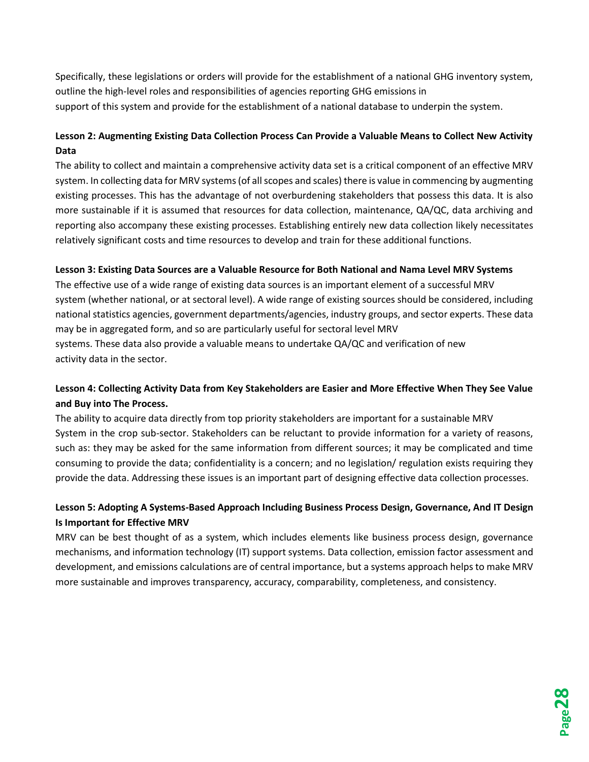Specifically, these legislations or orders will provide for the establishment of a national GHG inventory system, outline the high-level roles and responsibilities of agencies reporting GHG emissions in support of this system and provide for the establishment of a national database to underpin the system.

# **Lesson 2: Augmenting Existing Data Collection Process Can Provide a Valuable Means to Collect New Activity Data**

The ability to collect and maintain a comprehensive activity data set is a critical component of an effective MRV system. In collecting data for MRV systems (of all scopes and scales) there is value in commencing by augmenting existing processes. This has the advantage of not overburdening stakeholders that possess this data. It is also more sustainable if it is assumed that resources for data collection, maintenance, QA/QC, data archiving and reporting also accompany these existing processes. Establishing entirely new data collection likely necessitates relatively significant costs and time resources to develop and train for these additional functions.

#### **Lesson 3: Existing Data Sources are a Valuable Resource for Both National and Nama Level MRV Systems**

The effective use of a wide range of existing data sources is an important element of a successful MRV system (whether national, or at sectoral level). A wide range of existing sources should be considered, including national statistics agencies, government departments/agencies, industry groups, and sector experts. These data may be in aggregated form, and so are particularly useful for sectoral level MRV systems. These data also provide a valuable means to undertake QA/QC and verification of new activity data in the sector.

# **Lesson 4: Collecting Activity Data from Key Stakeholders are Easier and More Effective When They See Value and Buy into The Process.**

The ability to acquire data directly from top priority stakeholders are important for a sustainable MRV System in the crop sub-sector. Stakeholders can be reluctant to provide information for a variety of reasons, such as: they may be asked for the same information from different sources; it may be complicated and time consuming to provide the data; confidentiality is a concern; and no legislation/ regulation exists requiring they provide the data. Addressing these issues is an important part of designing effective data collection processes.

# **Lesson 5: Adopting A Systems-Based Approach Including Business Process Design, Governance, And IT Design Is Important for Effective MRV**

<span id="page-28-0"></span>MRV can be best thought of as a system, which includes elements like business process design, governance mechanisms, and information technology (IT) support systems. Data collection, emission factor assessment and development, and emissions calculations are of central importance, but a systems approach helps to make MRV more sustainable and improves transparency, accuracy, comparability, completeness, and consistency.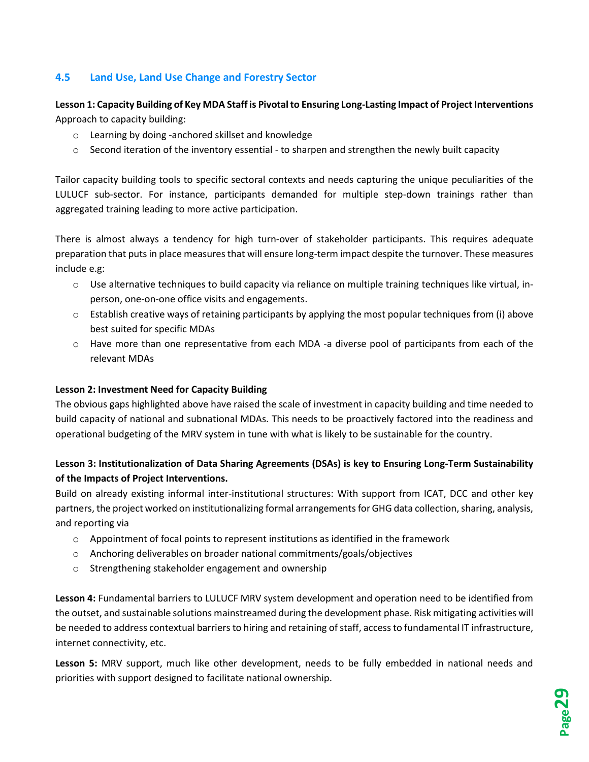# **4.5 Land Use, Land Use Change and Forestry Sector**

## **Lesson 1: Capacity Building of Key MDA Staff is Pivotal to Ensuring Long-Lasting Impact of Project Interventions** Approach to capacity building:

- o Learning by doing -anchored skillset and knowledge
- $\circ$  Second iteration of the inventory essential to sharpen and strengthen the newly built capacity

Tailor capacity building tools to specific sectoral contexts and needs capturing the unique peculiarities of the LULUCF sub-sector. For instance, participants demanded for multiple step-down trainings rather than aggregated training leading to more active participation.

There is almost always a tendency for high turn-over of stakeholder participants. This requires adequate preparation that puts in place measures that will ensure long-term impact despite the turnover. These measures include e.g:

- o Use alternative techniques to build capacity via reliance on multiple training techniques like virtual, inperson, one-on-one office visits and engagements.
- $\circ$  Establish creative ways of retaining participants by applying the most popular techniques from (i) above best suited for specific MDAs
- o Have more than one representative from each MDA -a diverse pool of participants from each of the relevant MDAs

#### **Lesson 2: Investment Need for Capacity Building**

The obvious gaps highlighted above have raised the scale of investment in capacity building and time needed to build capacity of national and subnational MDAs. This needs to be proactively factored into the readiness and operational budgeting of the MRV system in tune with what is likely to be sustainable for the country.

# **Lesson 3: Institutionalization of Data Sharing Agreements (DSAs) is key to Ensuring Long-Term Sustainability of the Impacts of Project Interventions.**

Build on already existing informal inter-institutional structures: With support from ICAT, DCC and other key partners, the project worked on institutionalizing formal arrangements for GHG data collection, sharing, analysis, and reporting via

- $\circ$  Appointment of focal points to represent institutions as identified in the framework
- o Anchoring deliverables on broader national commitments/goals/objectives
- o Strengthening stakeholder engagement and ownership

**Lesson 4:** Fundamental barriers to LULUCF MRV system development and operation need to be identified from the outset, and sustainable solutions mainstreamed during the development phase. Risk mitigating activities will be needed to address contextual barriers to hiring and retaining of staff, access to fundamental IT infrastructure, internet connectivity, etc.

**Lesson 5:** MRV support, much like other development, needs to be fully embedded in national needs and priorities with support designed to facilitate national ownership.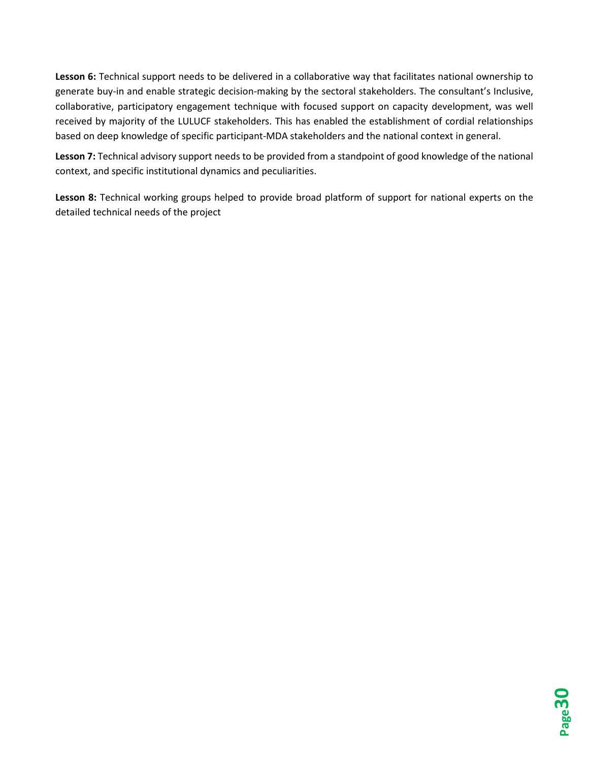**Lesson 6:** Technical support needs to be delivered in a collaborative way that facilitates national ownership to generate buy-in and enable strategic decision-making by the sectoral stakeholders. The consultant's Inclusive, collaborative, participatory engagement technique with focused support on capacity development, was well received by majority of the LULUCF stakeholders. This has enabled the establishment of cordial relationships based on deep knowledge of specific participant-MDA stakeholders and the national context in general.

**Lesson 7:** Technical advisory support needs to be provided from a standpoint of good knowledge of the national context, and specific institutional dynamics and peculiarities.

**Lesson 8:** Technical working groups helped to provide broad platform of support for national experts on the detailed technical needs of the project